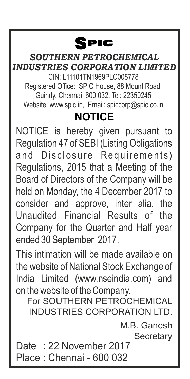## SPIC

CIN: L11101TN1969PLC005778 Registered Office: SPIC House, 88 Mount Road, Guindy, Chennai 600 032. Tel: 22350245 Website: www.spic.in, Email: spiccorp@spic.co.in *SOUTHERN PETROCHEMICAL INDUSTRIES CORPORATION LIMITED* **NOTICE**

NOTICE is hereby given pursuant to Regulation 47 of SEBI (Listing Obligations and Disclosure Requirements) Regulations, 2015 that a Meeting of the Board of Directors of the Company will be held on Monday, the 4 December 2017 to consider and approve, inter alia, the Unaudited Financial Results of the Company for the Quarter and Half year ended 30 September 2017.

This intimation will be made available on the website of National Stock Exchange of India Limited (www.nseindia.com) and on the website of the Company.

For SOUTHERN PETROCHEMICAL INDUSTRIES CORPORATION LTD.

> M.B. Ganesh **Secretary**

Date : 22 November 2017 Place : Chennai - 600 032